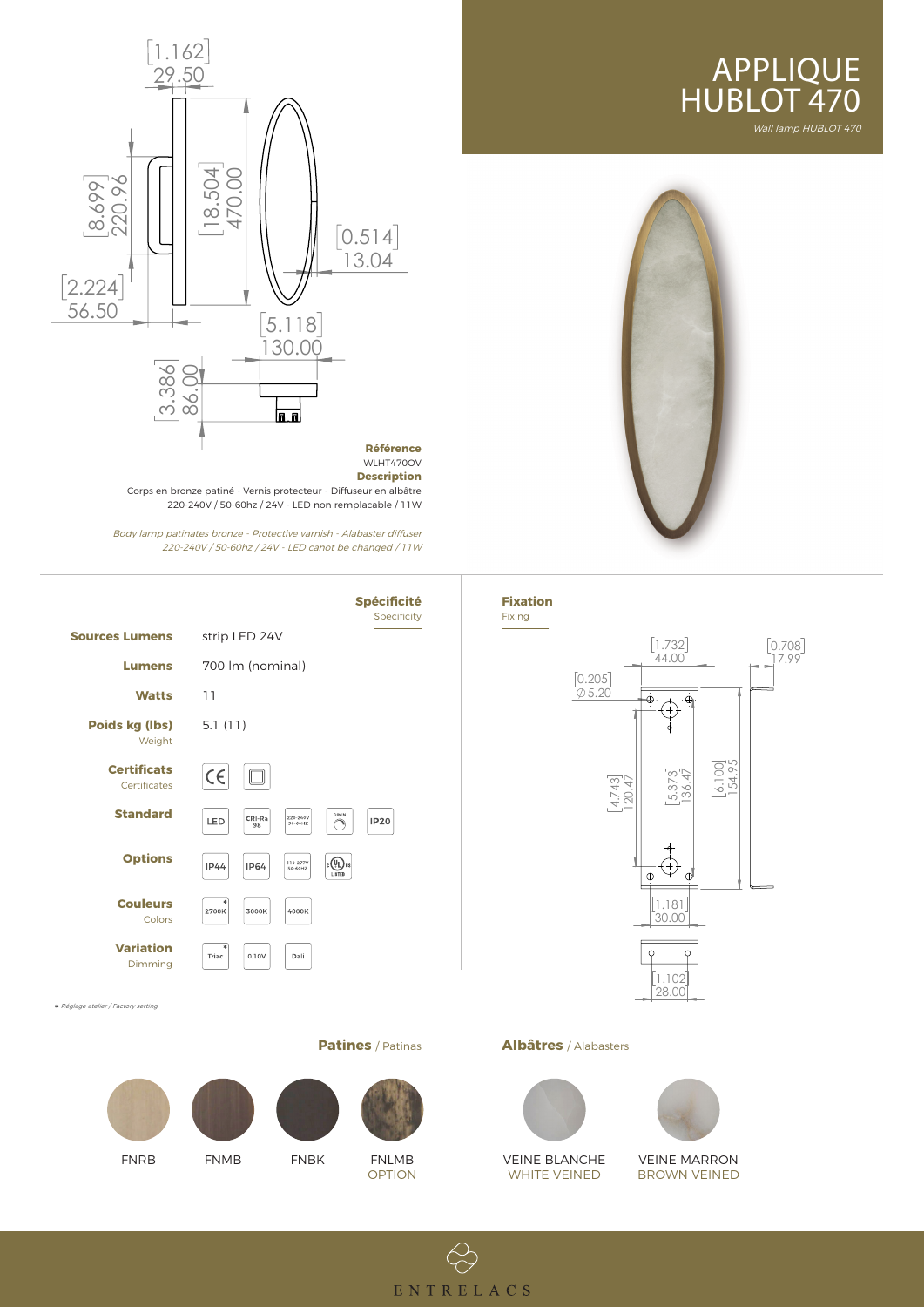









## **Patines** / Patinas **Albâtres** / Alabasters



VEINE BLANCHE WHITE VEINED



## VEINE MARRON BROWN VEINED



220-240V / 50-60hz / 24V - LED canot be changed / 11W



Réglage atelier / Factory setting